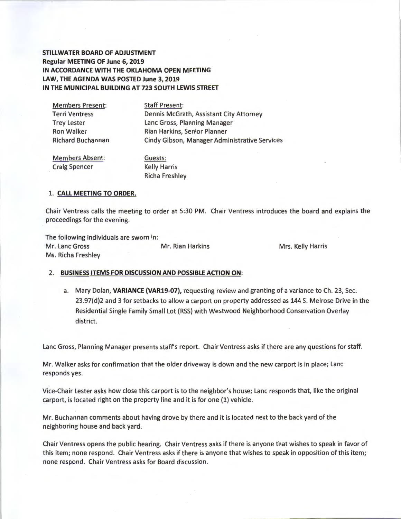**STILLWATER BOARD OF ADJUSTMENT Regular MEETING OF June 6, 2019 IN ACCORDANCE WITH THE OKLAHOMA OPEN MEETING LAW, THE AGENDA WAS POSTED June 3, 2019 IN THE MUNICIPAL BUILDING AT 723 SOUTH LEWIS STREET** 

Members Present: Terri Ventress Trey Lester

Staff Present: Dennis McGrath, Assistant City Attorney Lane Gross, Planning Manager Ron Walker Rian Harkins, Senior Planner Richard Buchannan Cindy Gibson, Manager Administrative Services

Members Absent: Craig Spencer

Guests: Kelly Harris Richa Freshley

#### 1. **CALL MEETING TO ORDER.**

Chair Ventress calls the meeting to order at 5:30 PM. Chair Ventress introduces the board and explains the proceedings for the evening.

The following individuals are sworn in: Mr. Lane Gross Mr. Rian Harkins Mrs. Kelly Harris Ms. Richa Freshley

#### 2. **BUSINESS ITEMS FOR DISCUSSION AND POSSIBLE ACTION ON:**

a. Mary Dolan, **VARIANCE (VAR19-07},** requesting review and granting of a variance to Ch. 23, Sec. 23.97(d)2 and 3 for setbacks to allow a carport on property addressed as 144 S. Melrose Drive in the Residential Single Family Small Lot (RSS) with Westwood Neighborhood Conservation Overlay district.

Lane Gross, Planning Manager presents staffs report. Chair Ventress asks if there are any questions for staff.

Mr. Walker asks for confirmation that the older driveway is down and the new carport is in place; Lane responds yes.

Vice-Chair Lester asks how close this carport is to the neighbor's house; Lane responds that, like the original carport, is located right on the property line and it is for one (1) vehicle.

Mr. Buchannan comments about having drove by there and it is located next to the back yard of the neighboring house and back yard.

Chair Ventress opens the public hearing. Chair Ventress asks if there is anyone that wishes to speak in favor of this item; none respond. Chair Ventress asks if there is anyone that wishes to speak in opposition of this item; none respond. Chair Ventress asks for Board discussion.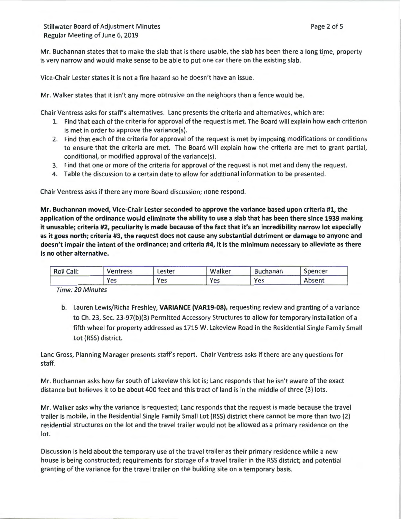Mr. Buchannan states that to make the slab that is there usable, the slab has been there a long time, property is very narrow and would make sense to be able to put one car there on the existing slab.

Vice-Chair Lester states it is not a fire hazard so he doesn't have an issue.

Mr. Walker states that it isn't any more obtrusive on the neighbors than a fence would be.

Chair Ventress asks for staff's alternatives. Lane presents the criteria and alternatives, which are:

- 1. Find that each of the criteria for approval of the request is met. The Board will explain how each criterion is met in order to approve the variance(s).
- 2. Find that each of the criteria for approval of the request is met by imposing modifications or conditions to ensure that the criteria are met. The Board will explain how the criteria are met to grant partial, conditional, or modified approval of the variance(s).
- 3. Find that one or more of the criteria for approval of the request is not met and deny the request.
- 4. Table the discussion to a certain date to allow for additional information to be presented.

Chair Ventress asks if there any more Board discussion; none respond.

Mr. Buchannan moved, Vice-Chair Lester seconded to approve the variance based upon criteria #1, the application of the ordinance would eliminate the ability to use a slab that has been there since 1939 making it unusable; criteria #2, peculiarity is made because of the fact that it's an incredibility narrow lot especially as it goes north; criteria #3, the request does not cause any substantial detriment or damage to anyone and doesn't impair the intent of the ordinance; and criteria #4, it is the minimum necessary to alleviate as there is no other alternative.

| <b>Roll Call:</b> | <b>Ventress</b> | Lester | Walker | <b>Buchanan</b> | spencer |
|-------------------|-----------------|--------|--------|-----------------|---------|
|                   | Yes             | Yes    | Yes    | Yes             | Absent  |

Time: 20 Minutes

b. Lauren Lewis/Richa Freshley, VARIANCE {VAR19-08), requesting review and granting of a variance to Ch. 23, Sec. 23-97(b)(3) Permitted Accessory Structures to allow for temporary installation of a fifth wheel for property addressed as 1715 W. Lakeview Road in the Residential Single Family Small Lot (RSS) district.

Lane Gross, Planning Manager presents staff's report. Chair Ventress asks if there are any questions for staff.

Mr. Buchannan asks how far south of Lakeview this lot is; Lane responds that he isn't aware of the exact distance but believes it to be about 400 feet and this tract of land is in the middle of three (3) lots.

Mr. Walker asks why the variance is requested; Lane responds that the request is made because the travel trailer is mobile, in the Residential Single Family Small Lot (RSS) district there cannot be more than two (2) residential structures on the lot and the travel trailer would not be allowed as a primary residence on the lot.

Discussion is held about the temporary use of the travel trailer as their primary residence while a new house is being constructed; requirements for storage of a travel trailer in the RSS district; and potential granting of the variance for the travel trailer on the building site on a temporary basis.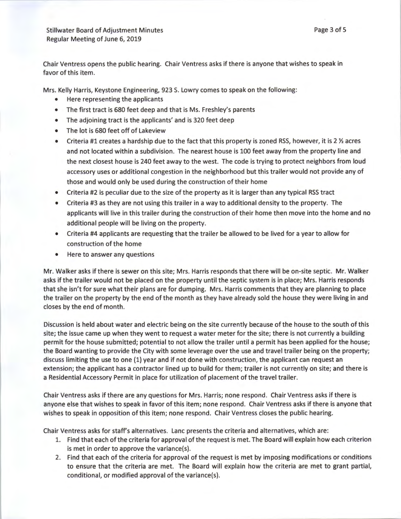Chair Ventress opens the public hearing. Chair Ventress asks if there is anyone that wishes to speak in favor of this item.

Mrs. Kelly Harris, Keystone Engineering, 923 S. Lowry comes to speak on the following:

- Here representing the applicants
- The first tract is 680 feet deep and that is Ms. Freshley's parents
- The adjoining tract is the applicants' and is 320 feet deep
- The lot is 680 feet off of Lakeview
- Criteria #1 creates a hardship due to the fact that this property is zoned RSS, however, it is 2  $\frac{1}{2}$  acres and not located within a subdivision. The nearest house is 100 feet away from the property line and the next closest house is 240 feet away to the west. The code is trying to protect neighbors from loud accessory uses or additional congestion in the neighborhood but this trailer would not provide any of those and would only be used during the construction of their home
- Criteria #2 is peculiar due to the size of the property as it is larger than any typical RSS tract
- Criteria #3 as they are not using this trailer in a way to additional density to the property. The applicants will live in this trailer during the construction of their home then move into the home and no additional people will be living on the property.
- Criteria #4 applicants are requesting that the trailer be allowed to be lived for a year to allow for construction of the home
- Here to answer any questions

Mr. Walker asks if there is sewer on this site; Mrs. Harris responds that there will be on-site septic. Mr. Walker asks if the trailer would not be placed on the property until the septic system is in place; Mrs. Harris responds that she isn't for sure what their plans are for dumping. Mrs. Harris comments that they are planning to place the trailer on the property by the end of the month as they have already sold the house they were living in and closes by the end of month.

Discussion is held about water and electric being on the site currently because of the house to the south of this site; the issue came up when they went to request a water meter for the site; there is not currently a building permit for the house submitted; potential to not allow the trailer until a permit has been applied for the house; the Board wanting to provide the City with some leverage over the use and travel trailer being on the property; discuss limiting the use to one (1) year and if not done with construction, the applicant can request an extension; the applicant has a contractor lined up to build for them; trailer is not currently on site; and there is a Residential Accessory Permit in place for utilization of placement of the travel trailer.

Chair Ventress asks if there are any questions for Mrs. Harris; none respond . Chair Ventress asks if there is anyone else that wishes to speak in favor of this item; none respond. Chair Ventress asks if there is anyone that wishes to speak in opposition of this item; none respond. Chair Ventress closes the public hearing.

Chair Ventress asks for staff's alternatives. Lane presents the criteria and alternatives, which are:

- 1. Find that each of the criteria for approval of the request is met. The Board will explain how each criterion is met in order to approve the variance(s).
- 2. Find that each of the criteria for approval of the request is met by imposing modifications or conditions to ensure that the criteria are met. The Board will explain how the criteria are met to grant partial, conditional, or modified approval of the variance(s).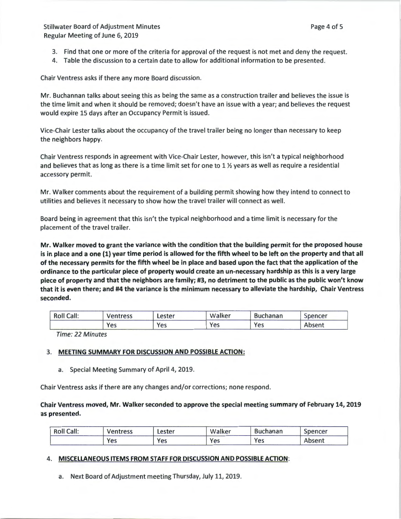- 3. Find that one or more of the criteria for approval of the request is not met and deny the request.
- 4. Table the discussion to a certain date to allow for additional information to be presented.

Chair Ventress asks if there any more Board discussion.

Mr. Buchannan talks about seeing this as being the same as a construction trailer and believes the issue is the time limit and when it should be removed; doesn't have an issue with a year; and believes the request would expire 15 days after an Occupancy Permit is issued.

Vice-Chair Lester talks about the occupancy of the travel trailer being no longer than necessary to keep the neighbors happy.

Chair Ventress responds in agreement with Vice-Chair Lester, however, this isn't a typical neighborhood and believes that as long as there is a time limit set for one to 1 *Yi* years as well as require a residential accessory permit.

Mr. Walker comments about the requirement of a building permit showing how they intend to connect to utilities and believes it necessary to show how the travel trailer will connect as well.

Board being in agreement that this isn't the typical neighborhood and a time limit is necessary for the placement of the travel trailer.

Mr. Walker moved to grant the variance with the condition that the building permit for the proposed house is in place and a one (1) year time period is allowed for the fifth wheel to be left on the property and that all of the necessary permits for the fifth wheel be in place and based upon the fact that the application of the ordinance to the particular piece of property would create an un-necessary hardship as this is a very large piece of property and that the neighbors are family; #3, no detriment to the public as the public won't know that it is even there; and #4 the variance is the minimum necessary to alleviate the hardship, Chair Ventress seconded.

| <b>Roll Call:</b> | Ventress | Lester | Walker | <b>Buchanan</b> | Spencer |
|-------------------|----------|--------|--------|-----------------|---------|
|                   | Yes      | Yes    | Yes    | Yes             | Absent  |

Time: 22 Minutes

# 3. MEETING SUMMARY FOR DISCUSSION AND POSSIBLE ACTION:

a. Special Meeting Summary of April 4, 2019.

Chair Ventress asks if there are any changes and/or corrections; none respond.

Chair Ventress moved, Mr. Walker seconded to approve the special meeting summary of February 14, 2019 as presented.

| <b>Roll Call:</b> | Ventress | ∟ester | Walker | <b>Buchanan</b> | spencer |
|-------------------|----------|--------|--------|-----------------|---------|
|                   | Yes      | Yes    | Yes    | Yes             | Absent  |

### 4. MISCELLANEOUS ITEMS FROM STAFF FOR DISCUSSION AND POSSIBLE ACTION:

a. Next Board of Adjustment meeting Thursday, July 11, 2019.